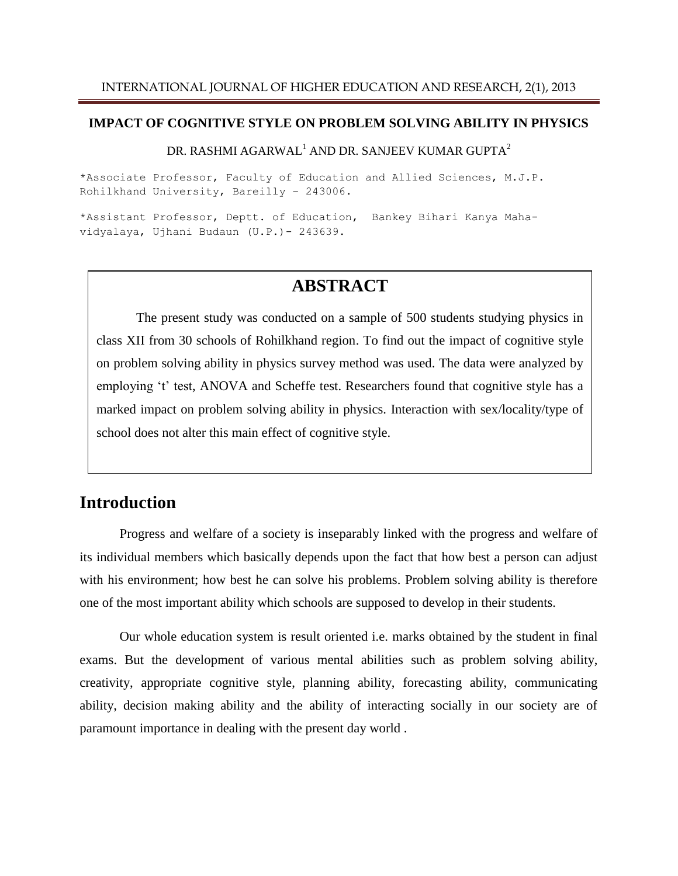#### **IMPACT OF COGNITIVE STYLE ON PROBLEM SOLVING ABILITY IN PHYSICS**

#### DR. RASHMI AGARWAL<sup>1</sup> AND DR. SANJEEV KUMAR GUPTA<sup>2</sup>

\*Associate Professor, Faculty of Education and Allied Sciences, M.J.P. Rohilkhand University, Bareilly – 243006.

\*Assistant Professor, Deptt. of Education, Bankey Bihari Kanya Mahavidyalaya, Ujhani Budaun (U.P.)- 243639.

## **ABSTRACT**

The present study was conducted on a sample of 500 students studying physics in class XII from 30 schools of Rohilkhand region. To find out the impact of cognitive style on problem solving ability in physics survey method was used. The data were analyzed by employing 't' test, ANOVA and Scheffe test. Researchers found that cognitive style has a marked impact on problem solving ability in physics. Interaction with sex/locality/type of school does not alter this main effect of cognitive style.

### **Introduction**

Progress and welfare of a society is inseparably linked with the progress and welfare of its individual members which basically depends upon the fact that how best a person can adjust with his environment; how best he can solve his problems. Problem solving ability is therefore one of the most important ability which schools are supposed to develop in their students.

Our whole education system is result oriented i.e. marks obtained by the student in final exams. But the development of various mental abilities such as problem solving ability, creativity, appropriate cognitive style, planning ability, forecasting ability, communicating ability, decision making ability and the ability of interacting socially in our society are of paramount importance in dealing with the present day world .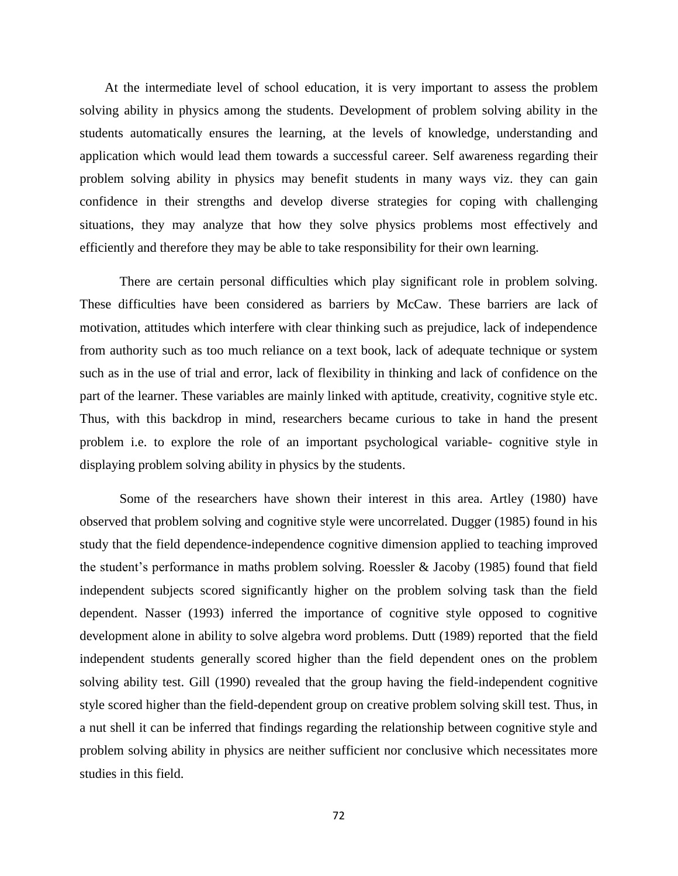At the intermediate level of school education, it is very important to assess the problem solving ability in physics among the students. Development of problem solving ability in the students automatically ensures the learning, at the levels of knowledge, understanding and application which would lead them towards a successful career. Self awareness regarding their problem solving ability in physics may benefit students in many ways viz. they can gain confidence in their strengths and develop diverse strategies for coping with challenging situations, they may analyze that how they solve physics problems most effectively and efficiently and therefore they may be able to take responsibility for their own learning.

There are certain personal difficulties which play significant role in problem solving. These difficulties have been considered as barriers by McCaw. These barriers are lack of motivation, attitudes which interfere with clear thinking such as prejudice, lack of independence from authority such as too much reliance on a text book, lack of adequate technique or system such as in the use of trial and error, lack of flexibility in thinking and lack of confidence on the part of the learner. These variables are mainly linked with aptitude, creativity, cognitive style etc. Thus, with this backdrop in mind, researchers became curious to take in hand the present problem i.e. to explore the role of an important psychological variable- cognitive style in displaying problem solving ability in physics by the students.

Some of the researchers have shown their interest in this area. Artley (1980) have observed that problem solving and cognitive style were uncorrelated. Dugger (1985) found in his study that the field dependence-independence cognitive dimension applied to teaching improved the student's performance in maths problem solving. Roessler & Jacoby (1985) found that field independent subjects scored significantly higher on the problem solving task than the field dependent. Nasser (1993) inferred the importance of cognitive style opposed to cognitive development alone in ability to solve algebra word problems. Dutt (1989) reported that the field independent students generally scored higher than the field dependent ones on the problem solving ability test. Gill (1990) revealed that the group having the field-independent cognitive style scored higher than the field-dependent group on creative problem solving skill test. Thus, in a nut shell it can be inferred that findings regarding the relationship between cognitive style and problem solving ability in physics are neither sufficient nor conclusive which necessitates more studies in this field.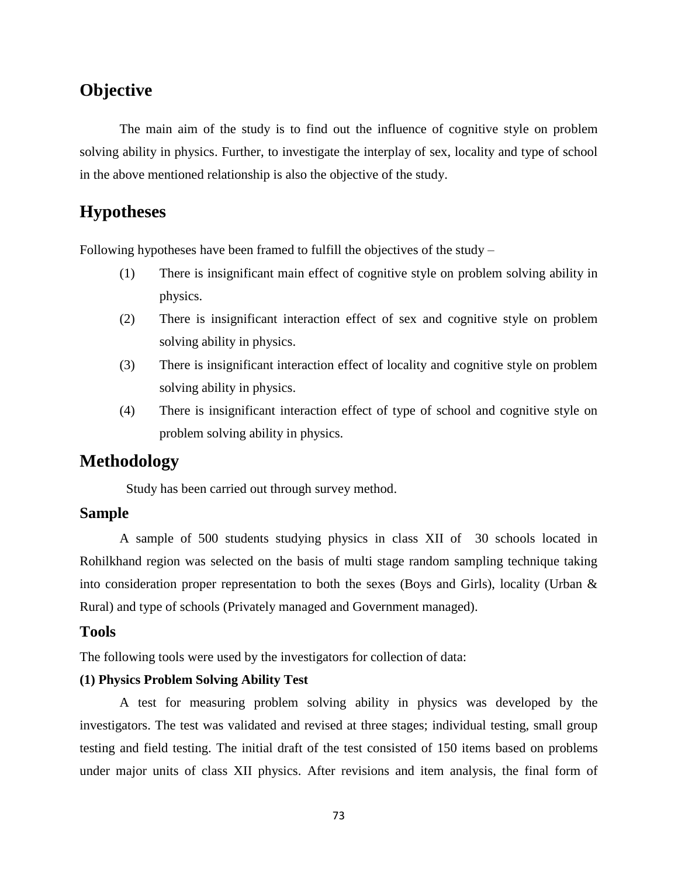# **Objective**

The main aim of the study is to find out the influence of cognitive style on problem solving ability in physics. Further, to investigate the interplay of sex, locality and type of school in the above mentioned relationship is also the objective of the study.

# **Hypotheses**

Following hypotheses have been framed to fulfill the objectives of the study –

- (1) There is insignificant main effect of cognitive style on problem solving ability in physics.
- (2) There is insignificant interaction effect of sex and cognitive style on problem solving ability in physics.
- (3) There is insignificant interaction effect of locality and cognitive style on problem solving ability in physics.
- (4) There is insignificant interaction effect of type of school and cognitive style on problem solving ability in physics.

## **Methodology**

Study has been carried out through survey method.

### **Sample**

A sample of 500 students studying physics in class XII of 30 schools located in Rohilkhand region was selected on the basis of multi stage random sampling technique taking into consideration proper representation to both the sexes (Boys and Girls), locality (Urban  $\&$ Rural) and type of schools (Privately managed and Government managed).

#### **Tools**

The following tools were used by the investigators for collection of data:

#### **(1) Physics Problem Solving Ability Test**

A test for measuring problem solving ability in physics was developed by the investigators. The test was validated and revised at three stages; individual testing, small group testing and field testing. The initial draft of the test consisted of 150 items based on problems under major units of class XII physics. After revisions and item analysis, the final form of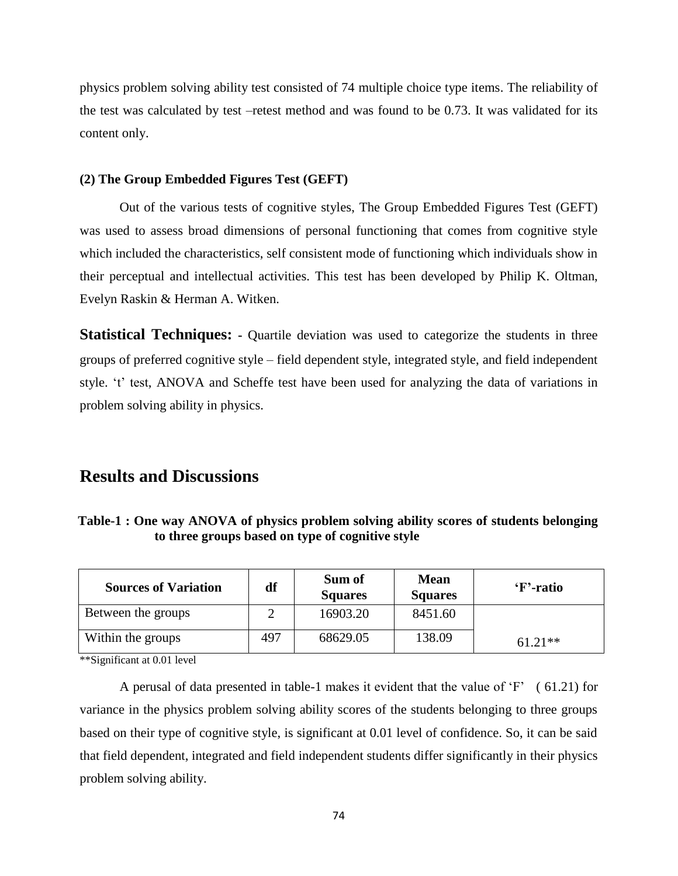physics problem solving ability test consisted of 74 multiple choice type items. The reliability of the test was calculated by test –retest method and was found to be 0.73. It was validated for its content only.

#### **(2) The Group Embedded Figures Test (GEFT)**

Out of the various tests of cognitive styles, The Group Embedded Figures Test (GEFT) was used to assess broad dimensions of personal functioning that comes from cognitive style which included the characteristics, self consistent mode of functioning which individuals show in their perceptual and intellectual activities. This test has been developed by Philip K. Oltman, Evelyn Raskin & Herman A. Witken.

**Statistical Techniques: -** Quartile deviation was used to categorize the students in three groups of preferred cognitive style – field dependent style, integrated style, and field independent style. 't' test, ANOVA and Scheffe test have been used for analyzing the data of variations in problem solving ability in physics.

## **Results and Discussions**

| Table-1: One way ANOVA of physics problem solving ability scores of students belonging |  |
|----------------------------------------------------------------------------------------|--|
| to three groups based on type of cognitive style                                       |  |

| <b>Sources of Variation</b> | df  | Sum of<br><b>Squares</b> | <b>Mean</b><br><b>Squares</b> | 'F'-ratio |
|-----------------------------|-----|--------------------------|-------------------------------|-----------|
| Between the groups          |     | 16903.20                 | 8451.60                       |           |
| Within the groups           | 497 | 68629.05                 | 138.09                        | $61.21**$ |

\*\*Significant at 0.01 level

A perusal of data presented in table-1 makes it evident that the value of 'F' ( 61.21) for variance in the physics problem solving ability scores of the students belonging to three groups based on their type of cognitive style, is significant at 0.01 level of confidence. So, it can be said that field dependent, integrated and field independent students differ significantly in their physics problem solving ability.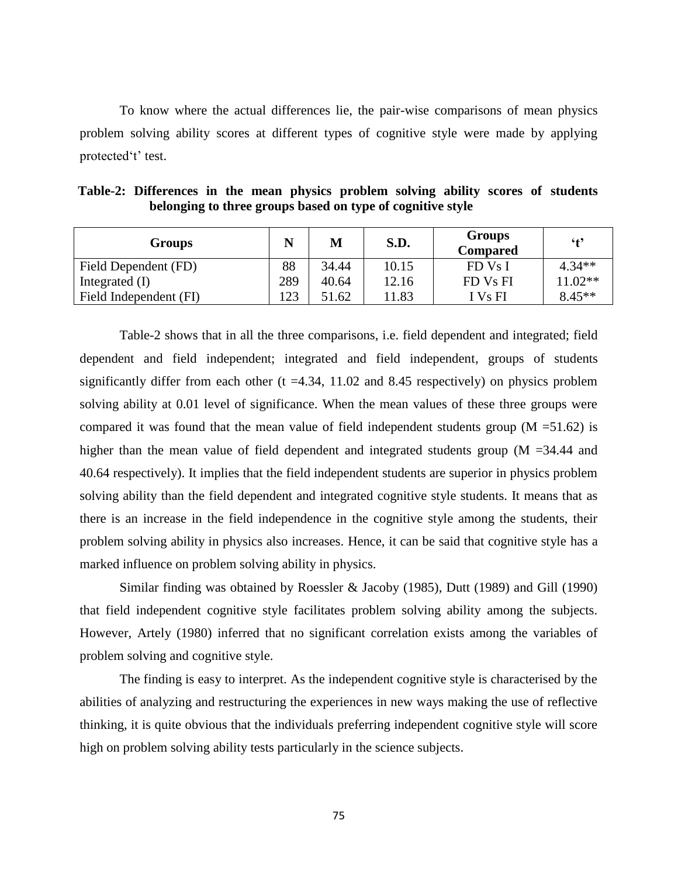To know where the actual differences lie, the pair-wise comparisons of mean physics problem solving ability scores at different types of cognitive style were made by applying protected't' test.

| Groups                 |     | М     | S.D.  | <b>Groups</b><br><b>Compared</b> | $6+9$     |
|------------------------|-----|-------|-------|----------------------------------|-----------|
| Field Dependent (FD)   | 88  | 34.44 | 10.15 | FD Vs I                          | $4.34**$  |
| Integrated $(I)$       | 289 | 40.64 | 12.16 | FD Vs FI                         | $11.02**$ |
| Field Independent (FI) | 123 | 51.62 | 11.83 | I Vs FI                          | $8.45**$  |

| Table-2: Differences in the mean physics problem solving ability scores of students |  |  |                                                            |  |  |  |
|-------------------------------------------------------------------------------------|--|--|------------------------------------------------------------|--|--|--|
|                                                                                     |  |  | belonging to three groups based on type of cognitive style |  |  |  |

Table-2 shows that in all the three comparisons, i.e. field dependent and integrated; field dependent and field independent; integrated and field independent, groups of students significantly differ from each other  $(t = 4.34, 11.02, 8.45)$  respectively) on physics problem solving ability at 0.01 level of significance. When the mean values of these three groups were compared it was found that the mean value of field independent students group  $(M = 51.62)$  is higher than the mean value of field dependent and integrated students group (M = 34.44 and 40.64 respectively). It implies that the field independent students are superior in physics problem solving ability than the field dependent and integrated cognitive style students. It means that as there is an increase in the field independence in the cognitive style among the students, their problem solving ability in physics also increases. Hence, it can be said that cognitive style has a marked influence on problem solving ability in physics.

Similar finding was obtained by Roessler & Jacoby (1985), Dutt (1989) and Gill (1990) that field independent cognitive style facilitates problem solving ability among the subjects. However, Artely (1980) inferred that no significant correlation exists among the variables of problem solving and cognitive style.

The finding is easy to interpret. As the independent cognitive style is characterised by the abilities of analyzing and restructuring the experiences in new ways making the use of reflective thinking, it is quite obvious that the individuals preferring independent cognitive style will score high on problem solving ability tests particularly in the science subjects.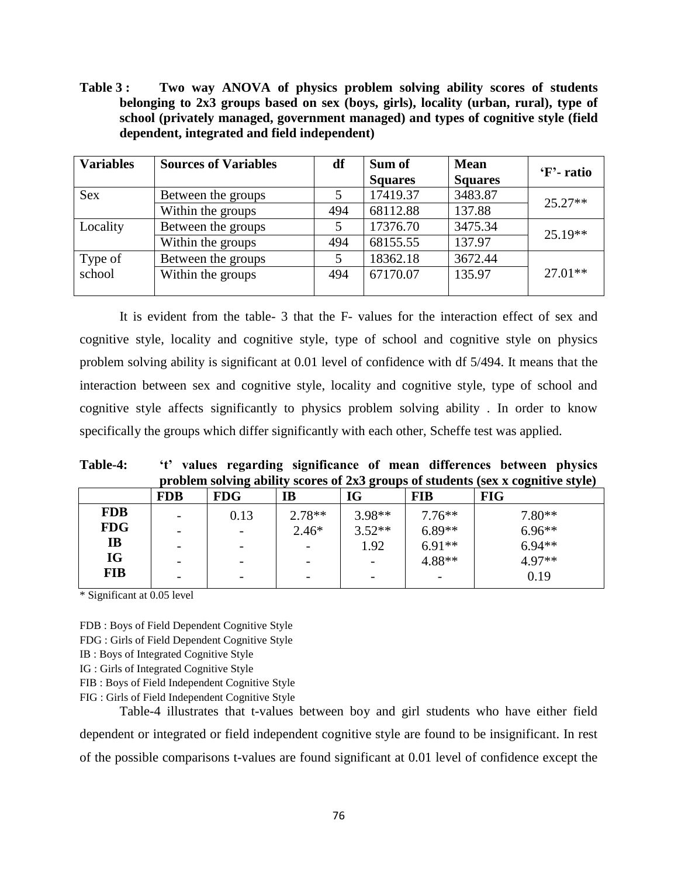**Table 3 : Two way ANOVA of physics problem solving ability scores of students belonging to 2x3 groups based on sex (boys, girls), locality (urban, rural), type of school (privately managed, government managed) and types of cognitive style (field dependent, integrated and field independent)**

| <b>Variables</b> | <b>Sources of Variables</b> | df<br>Sum of |                | <b>Mean</b>    | 'F'- ratio |
|------------------|-----------------------------|--------------|----------------|----------------|------------|
|                  |                             |              | <b>Squares</b> | <b>Squares</b> |            |
| <b>Sex</b>       | Between the groups          |              | 17419.37       | 3483.87        | $25.27**$  |
|                  | Within the groups           | 494          | 68112.88       | 137.88         |            |
| Locality         | Between the groups          |              | 17376.70       | 3475.34        | $25.19**$  |
|                  | Within the groups           | 494          | 68155.55       | 137.97         |            |
| Type of          | Between the groups          |              | 18362.18       | 3672.44        |            |
| school           | Within the groups           | 494          | 67170.07       | 135.97         | $27.01**$  |
|                  |                             |              |                |                |            |

It is evident from the table- 3 that the F- values for the interaction effect of sex and cognitive style, locality and cognitive style, type of school and cognitive style on physics problem solving ability is significant at 0.01 level of confidence with df 5/494. It means that the interaction between sex and cognitive style, locality and cognitive style, type of school and cognitive style affects significantly to physics problem solving ability . In order to know specifically the groups which differ significantly with each other, Scheffe test was applied.

**Table-4: 't' values regarding significance of mean differences between physics problem solving ability scores of 2x3 groups of students (sex x cognitive style)**

|            | <b>FDB</b>               | <b>FDG</b>               | IB                       | IG       | <b>FIB</b> | <b>FIG</b> |
|------------|--------------------------|--------------------------|--------------------------|----------|------------|------------|
| <b>FDB</b> | -                        | 0.13                     | $2.78**$                 | 3.98**   | $7.76***$  | $7.80**$   |
| <b>FDG</b> | $\overline{\phantom{m}}$ | $\overline{\phantom{0}}$ | $2.46*$                  | $3.52**$ | $6.89**$   | $6.96**$   |
| <b>IB</b>  | -                        | -                        |                          | 1.92     | $6.91**$   | $6.94**$   |
| IG         | $\overline{\phantom{a}}$ | $\overline{\phantom{0}}$ |                          |          | 4.88**     | 4.97**     |
| <b>FIB</b> | -                        | $\overline{\phantom{0}}$ | $\overline{\phantom{0}}$ |          |            | 0.19       |

\* Significant at 0.05 level

FDB : Boys of Field Dependent Cognitive Style

FDG : Girls of Field Dependent Cognitive Style

IB : Boys of Integrated Cognitive Style

IG : Girls of Integrated Cognitive Style

FIB : Boys of Field Independent Cognitive Style

FIG : Girls of Field Independent Cognitive Style

Table-4 illustrates that t-values between boy and girl students who have either field dependent or integrated or field independent cognitive style are found to be insignificant. In rest of the possible comparisons t-values are found significant at 0.01 level of confidence except the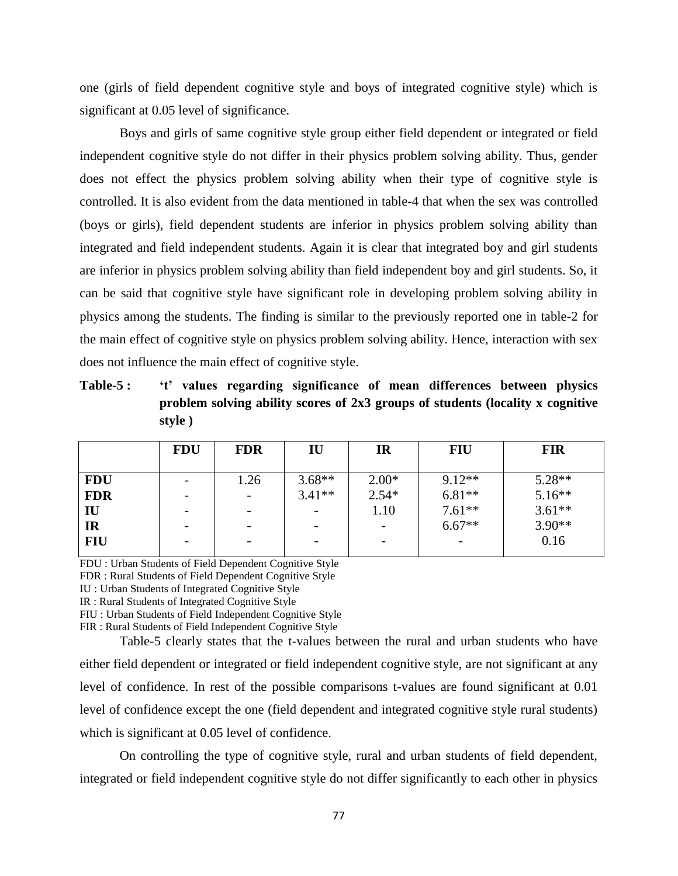one (girls of field dependent cognitive style and boys of integrated cognitive style) which is significant at 0.05 level of significance.

Boys and girls of same cognitive style group either field dependent or integrated or field independent cognitive style do not differ in their physics problem solving ability. Thus, gender does not effect the physics problem solving ability when their type of cognitive style is controlled. It is also evident from the data mentioned in table-4 that when the sex was controlled (boys or girls), field dependent students are inferior in physics problem solving ability than integrated and field independent students. Again it is clear that integrated boy and girl students are inferior in physics problem solving ability than field independent boy and girl students. So, it can be said that cognitive style have significant role in developing problem solving ability in physics among the students. The finding is similar to the previously reported one in table-2 for the main effect of cognitive style on physics problem solving ability. Hence, interaction with sex does not influence the main effect of cognitive style.

**Table-5 : 't' values regarding significance of mean differences between physics problem solving ability scores of 2x3 groups of students (locality x cognitive style )**

|            | <b>FDU</b> | <b>FDR</b> | IU       | IR      | <b>FIU</b> | <b>FIR</b> |
|------------|------------|------------|----------|---------|------------|------------|
| <b>FDU</b> | -          | 1.26       | $3.68**$ | $2.00*$ | $9.12**$   | $5.28**$   |
| <b>FDR</b> |            | -          | $3.41**$ | $2.54*$ | $6.81**$   | $5.16**$   |
| IU         |            |            |          | 1.10    | $7.61**$   | $3.61**$   |
| <b>IR</b>  |            | -          |          |         | $6.67**$   | $3.90**$   |
| <b>FIU</b> |            | -          |          |         |            | 0.16       |
|            |            |            |          |         |            |            |

FDU : Urban Students of Field Dependent Cognitive Style

FDR : Rural Students of Field Dependent Cognitive Style

IU : Urban Students of Integrated Cognitive Style

IR : Rural Students of Integrated Cognitive Style

FIU : Urban Students of Field Independent Cognitive Style

FIR : Rural Students of Field Independent Cognitive Style

Table-5 clearly states that the t-values between the rural and urban students who have either field dependent or integrated or field independent cognitive style, are not significant at any level of confidence. In rest of the possible comparisons t-values are found significant at 0.01 level of confidence except the one (field dependent and integrated cognitive style rural students) which is significant at 0.05 level of confidence.

On controlling the type of cognitive style, rural and urban students of field dependent, integrated or field independent cognitive style do not differ significantly to each other in physics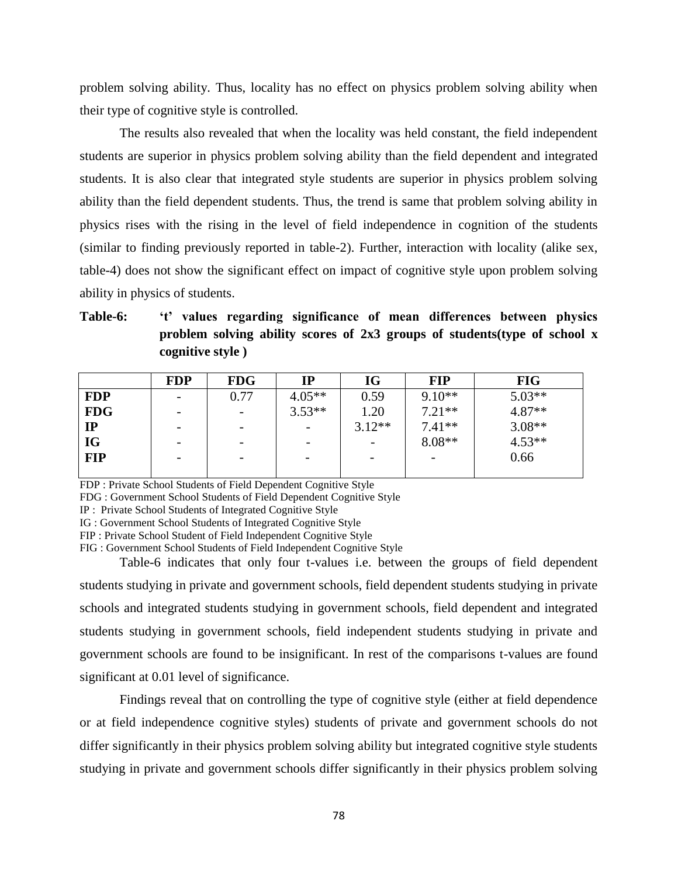problem solving ability. Thus, locality has no effect on physics problem solving ability when their type of cognitive style is controlled.

The results also revealed that when the locality was held constant, the field independent students are superior in physics problem solving ability than the field dependent and integrated students. It is also clear that integrated style students are superior in physics problem solving ability than the field dependent students. Thus, the trend is same that problem solving ability in physics rises with the rising in the level of field independence in cognition of the students (similar to finding previously reported in table-2). Further, interaction with locality (alike sex, table-4) does not show the significant effect on impact of cognitive style upon problem solving ability in physics of students.

**Table-6: 't' values regarding significance of mean differences between physics problem solving ability scores of 2x3 groups of students(type of school x cognitive style )**

|            | <b>FDP</b> | <b>FDG</b> | IP       | <b>IG</b>                | <b>FIP</b> | <b>FIG</b> |
|------------|------------|------------|----------|--------------------------|------------|------------|
| <b>FDP</b> |            | 0.77       | $4.05**$ | 0.59                     | $9.10**$   | $5.03**$   |
| <b>FDG</b> |            |            | $3.53**$ | 1.20                     | $7.21**$   | $4.87**$   |
| IP         |            |            |          | $3.12**$                 | $7.41**$   | $3.08**$   |
| <b>IG</b>  |            |            |          | $\overline{\phantom{a}}$ | $8.08**$   | $4.53**$   |
| <b>FIP</b> |            |            |          | $\overline{\phantom{0}}$ |            | 0.66       |
|            |            |            |          |                          |            |            |

FDP : Private School Students of Field Dependent Cognitive Style

FDG : Government School Students of Field Dependent Cognitive Style

IP : Private School Students of Integrated Cognitive Style

IG : Government School Students of Integrated Cognitive Style

FIP : Private School Student of Field Independent Cognitive Style

FIG : Government School Students of Field Independent Cognitive Style

Table-6 indicates that only four t-values i.e. between the groups of field dependent students studying in private and government schools, field dependent students studying in private schools and integrated students studying in government schools, field dependent and integrated students studying in government schools, field independent students studying in private and government schools are found to be insignificant. In rest of the comparisons t-values are found significant at 0.01 level of significance.

Findings reveal that on controlling the type of cognitive style (either at field dependence or at field independence cognitive styles) students of private and government schools do not differ significantly in their physics problem solving ability but integrated cognitive style students studying in private and government schools differ significantly in their physics problem solving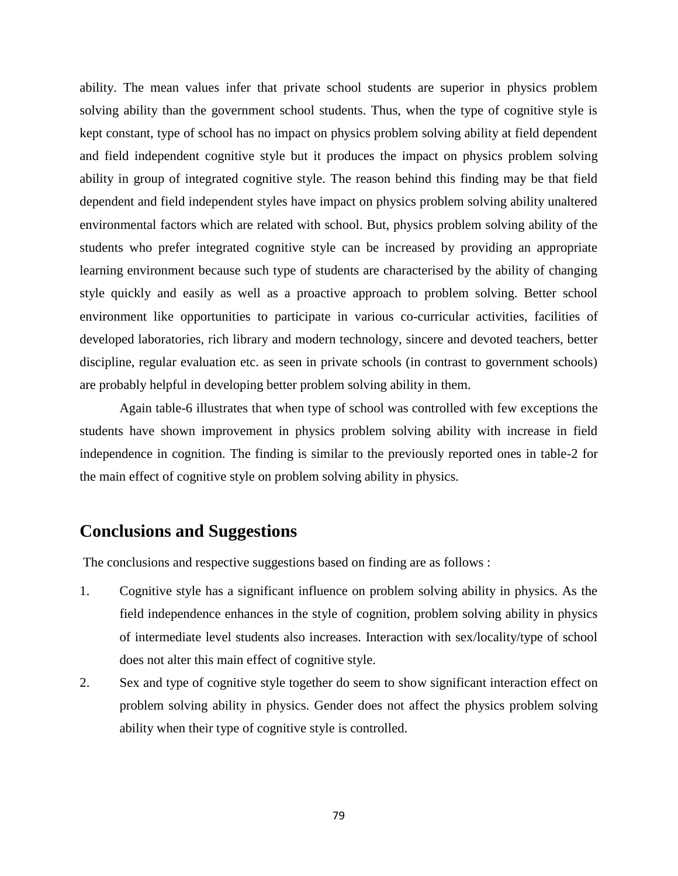ability. The mean values infer that private school students are superior in physics problem solving ability than the government school students. Thus, when the type of cognitive style is kept constant, type of school has no impact on physics problem solving ability at field dependent and field independent cognitive style but it produces the impact on physics problem solving ability in group of integrated cognitive style. The reason behind this finding may be that field dependent and field independent styles have impact on physics problem solving ability unaltered environmental factors which are related with school. But, physics problem solving ability of the students who prefer integrated cognitive style can be increased by providing an appropriate learning environment because such type of students are characterised by the ability of changing style quickly and easily as well as a proactive approach to problem solving. Better school environment like opportunities to participate in various co-curricular activities, facilities of developed laboratories, rich library and modern technology, sincere and devoted teachers, better discipline, regular evaluation etc. as seen in private schools (in contrast to government schools) are probably helpful in developing better problem solving ability in them.

Again table-6 illustrates that when type of school was controlled with few exceptions the students have shown improvement in physics problem solving ability with increase in field independence in cognition. The finding is similar to the previously reported ones in table-2 for the main effect of cognitive style on problem solving ability in physics.

## **Conclusions and Suggestions**

The conclusions and respective suggestions based on finding are as follows :

- 1. Cognitive style has a significant influence on problem solving ability in physics. As the field independence enhances in the style of cognition, problem solving ability in physics of intermediate level students also increases. Interaction with sex/locality/type of school does not alter this main effect of cognitive style.
- 2. Sex and type of cognitive style together do seem to show significant interaction effect on problem solving ability in physics. Gender does not affect the physics problem solving ability when their type of cognitive style is controlled.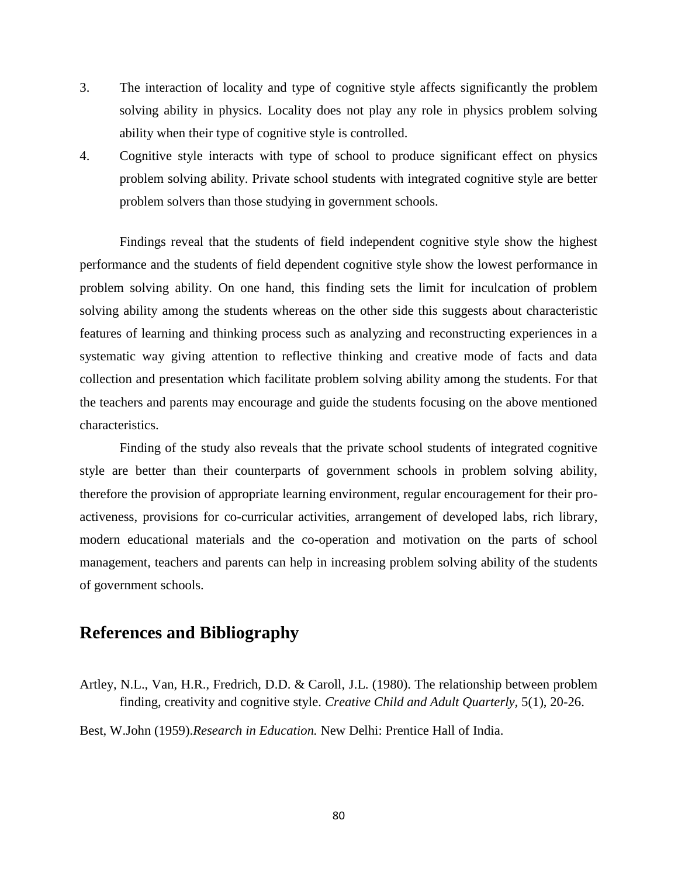- 3. The interaction of locality and type of cognitive style affects significantly the problem solving ability in physics. Locality does not play any role in physics problem solving ability when their type of cognitive style is controlled.
- 4. Cognitive style interacts with type of school to produce significant effect on physics problem solving ability. Private school students with integrated cognitive style are better problem solvers than those studying in government schools.

Findings reveal that the students of field independent cognitive style show the highest performance and the students of field dependent cognitive style show the lowest performance in problem solving ability. On one hand, this finding sets the limit for inculcation of problem solving ability among the students whereas on the other side this suggests about characteristic features of learning and thinking process such as analyzing and reconstructing experiences in a systematic way giving attention to reflective thinking and creative mode of facts and data collection and presentation which facilitate problem solving ability among the students. For that the teachers and parents may encourage and guide the students focusing on the above mentioned characteristics.

Finding of the study also reveals that the private school students of integrated cognitive style are better than their counterparts of government schools in problem solving ability, therefore the provision of appropriate learning environment, regular encouragement for their proactiveness, provisions for co-curricular activities, arrangement of developed labs, rich library, modern educational materials and the co-operation and motivation on the parts of school management, teachers and parents can help in increasing problem solving ability of the students of government schools.

### **References and Bibliography**

Artley, N.L., Van, H.R., Fredrich, D.D. & Caroll, J.L. (1980). The relationship between problem finding, creativity and cognitive style. *Creative Child and Adult Quarterly,* 5(1), 20-26.

Best, W.John (1959).*Research in Education.* New Delhi: Prentice Hall of India.